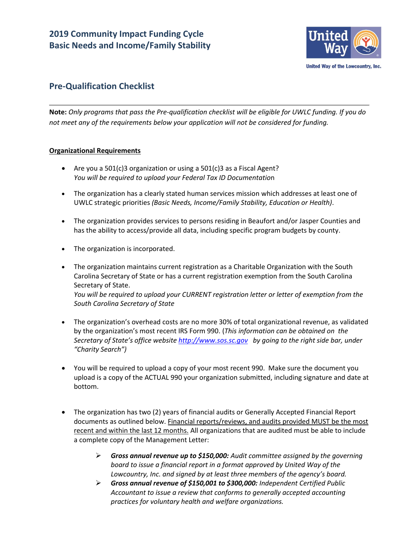

# **Pre-Qualification Checklist**

**Note:** *Only programs that pass the Pre-qualification checklist will be eligible for UWLC funding. If you do not meet any of the requirements below your application will not be considered for funding.*

## **Organizational Requirements**

- Are you a  $501(c)$ 3 organization or using a  $501(c)$ 3 as a Fiscal Agent? *You will be required to upload your Federal Tax ID Documentatio*n
- The organization has a clearly stated human services mission which addresses at least one of UWLC strategic priorities *(Basic Needs, Income/Family Stability, Education or Health)*.
- The organization provides services to persons residing in Beaufort and/or Jasper Counties and has the ability to access/provide all data, including specific program budgets by county.
- The organization is incorporated.
- The organization maintains current registration as a Charitable Organization with the South Carolina Secretary of State or has a current registration exemption from the South Carolina Secretary of State. *You will be required to upload your CURRENT registration letter or letter of exemption from the South Carolina Secretary of State*
- The organization's overhead costs are no more 30% of total organizational revenue, as validated by the organization's most recent IRS Form 990. (*This information can be obtained on the Secretary of State's office website [http://www.sos.sc.gov](http://www.sos.sc.gov/) by going to the right side bar, under "Charity Search")*
- You will be required to upload a copy of your most recent 990. Make sure the document you upload is a copy of the ACTUAL 990 your organization submitted, including signature and date at bottom.
- The organization has two (2) years of financial audits or Generally Accepted Financial Report documents as outlined below. Financial reports/reviews, and audits provided MUST be the most recent and within the last 12 months. All organizations that are audited must be able to include a complete copy of the Management Letter:
	- *Gross annual revenue up to \$150,000: Audit committee assigned by the governing board to issue a financial report in a format approved by United Way of the Lowcountry, Inc. and signed by at least three members of the agency's board.*
	- *Gross annual revenue of \$150,001 to \$300,000: Independent Certified Public Accountant to issue a review that conforms to generally accepted accounting practices for voluntary health and welfare organizations.*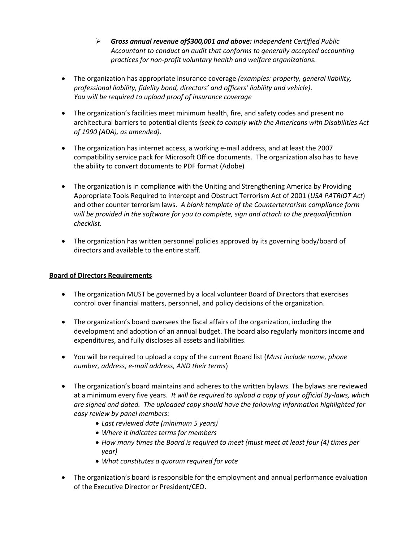- *Gross annual revenue of\$300,001 and above: Independent Certified Public Accountant to conduct an audit that conforms to generally accepted accounting practices for non-profit voluntary health and welfare organizations.*
- The organization has appropriate insurance coverage *(examples: property, general liability, professional liability, fidelity bond, directors' and officers' liability and vehicle)*. *You will be required to upload proof of insurance coverage*
- The organization's facilities meet minimum health, fire, and safety codes and present no architectural barriers to potential clients *(seek to comply with the Americans with Disabilities Act of 1990 (ADA), as amended)*.
- The organization has internet access, a working e-mail address, and at least the 2007 compatibility service pack for Microsoft Office documents. The organization also has to have the ability to convert documents to PDF format (Adobe)
- The organization is in compliance with the Uniting and Strengthening America by Providing Appropriate Tools Required to intercept and Obstruct Terrorism Act of 2001 (*USA PATRIOT Act*) and other counter terrorism laws. *A blank template of the Counterterrorism compliance form will be provided in the software for you to complete, sign and attach to the prequalification checklist.*
- The organization has written personnel policies approved by its governing body/board of directors and available to the entire staff.

## **Board of Directors Requirements**

- The organization MUST be governed by a local volunteer Board of Directors that exercises control over financial matters, personnel, and policy decisions of the organization.
- The organization's board oversees the fiscal affairs of the organization, including the development and adoption of an annual budget. The board also regularly monitors income and expenditures, and fully discloses all assets and liabilities.
- You will be required to upload a copy of the current Board list (*Must include name, phone number, address, e-mail address, AND their terms*)
- The organization's board maintains and adheres to the written bylaws. The bylaws are reviewed at a minimum every five years. *It will be required to upload a copy of your official By-laws, which are signed and dated. The uploaded copy should have the following information highlighted for easy review by panel members:*
	- *Last reviewed date (minimum 5 years)*
	- *Where it indicates terms for members*
	- *How many times the Board is required to meet (must meet at least four (4) times per year)*
	- *What constitutes a quorum required for vote*
- The organization's board is responsible for the employment and annual performance evaluation of the Executive Director or President/CEO.